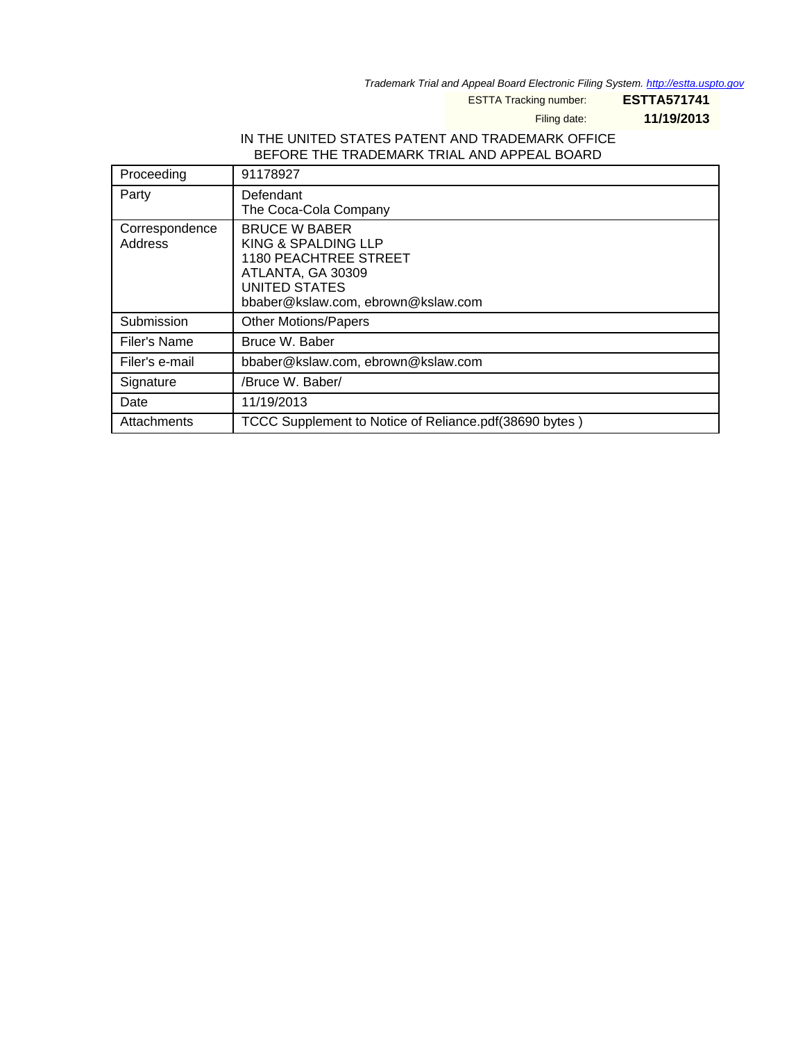Trademark Trial and Appeal Board Electronic Filing System. <http://estta.uspto.gov>

ESTTA Tracking number: **ESTTA571741**

Filing date: **11/19/2013**

### IN THE UNITED STATES PATENT AND TRADEMARK OFFICE BEFORE THE TRADEMARK TRIAL AND APPEAL BOARD

| Proceeding                | 91178927                                                                                                                                         |
|---------------------------|--------------------------------------------------------------------------------------------------------------------------------------------------|
| Party                     | Defendant<br>The Coca-Cola Company                                                                                                               |
| Correspondence<br>Address | <b>BRUCE W BABER</b><br>KING & SPALDING LLP<br>1180 PEACHTREE STREET<br>ATLANTA, GA 30309<br>UNITED STATES<br>bbaber@kslaw.com, ebrown@kslaw.com |
| Submission                | <b>Other Motions/Papers</b>                                                                                                                      |
| Filer's Name              | Bruce W. Baber                                                                                                                                   |
| Filer's e-mail            | bbaber@kslaw.com, ebrown@kslaw.com                                                                                                               |
| Signature                 | /Bruce W. Baber/                                                                                                                                 |
| Date                      | 11/19/2013                                                                                                                                       |
| Attachments               | TCCC Supplement to Notice of Reliance.pdf(38690 bytes)                                                                                           |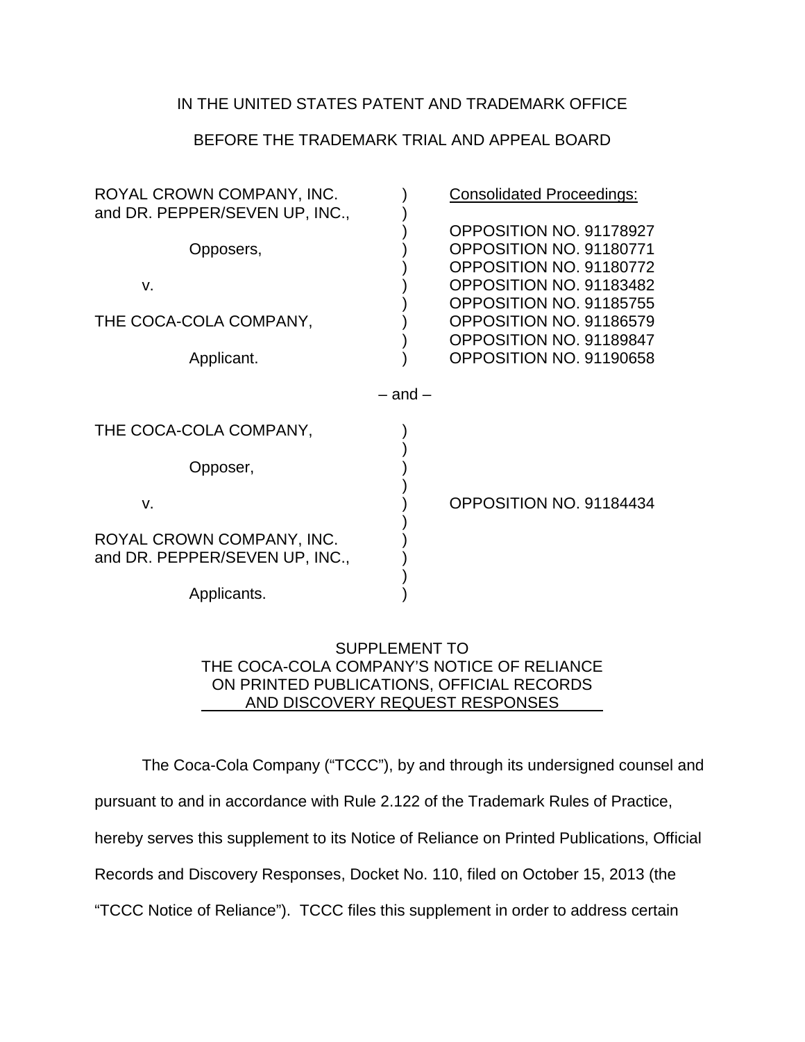## IN THE UNITED STATES PATENT AND TRADEMARK OFFICE

# BEFORE THE TRADEMARK TRIAL AND APPEAL BOARD

| ROYAL CROWN COMPANY, INC.<br>and DR. PEPPER/SEVEN UP, INC., |             | <b>Consolidated Proceedings:</b>                                                                                                                                                                                     |
|-------------------------------------------------------------|-------------|----------------------------------------------------------------------------------------------------------------------------------------------------------------------------------------------------------------------|
| Opposers,<br>V.<br>THE COCA-COLA COMPANY,<br>Applicant.     |             | OPPOSITION NO. 91178927<br>OPPOSITION NO. 91180771<br>OPPOSITION NO. 91180772<br>OPPOSITION NO. 91183482<br>OPPOSITION NO. 91185755<br>OPPOSITION NO. 91186579<br>OPPOSITION NO. 91189847<br>OPPOSITION NO. 91190658 |
|                                                             | $-$ and $-$ |                                                                                                                                                                                                                      |
| THE COCA-COLA COMPANY,                                      |             |                                                                                                                                                                                                                      |
| Opposer,                                                    |             |                                                                                                                                                                                                                      |
| V.                                                          |             | OPPOSITION NO. 91184434                                                                                                                                                                                              |
| ROYAL CROWN COMPANY, INC.<br>and DR. PEPPER/SEVEN UP, INC., |             |                                                                                                                                                                                                                      |
| Applicants.                                                 |             |                                                                                                                                                                                                                      |

## SUPPLEMENT TO THE COCA-COLA COMPANY'S NOTICE OF RELIANCE ON PRINTED PUBLICATIONS, OFFICIAL RECORDS AND DISCOVERY REQUEST RESPONSES

The Coca-Cola Company ("TCCC"), by and through its undersigned counsel and pursuant to and in accordance with Rule 2.122 of the Trademark Rules of Practice, hereby serves this supplement to its Notice of Reliance on Printed Publications, Official Records and Discovery Responses, Docket No. 110, filed on October 15, 2013 (the "TCCC Notice of Reliance"). TCCC files this supplement in order to address certain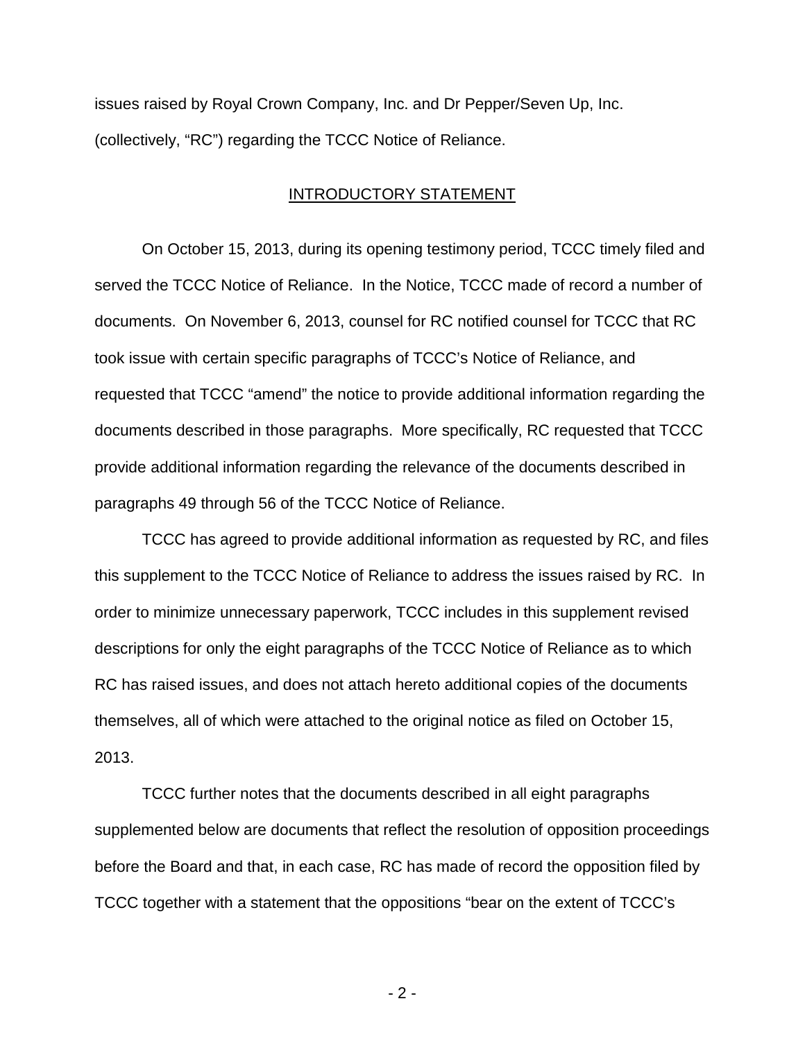issues raised by Royal Crown Company, Inc. and Dr Pepper/Seven Up, Inc. (collectively, "RC") regarding the TCCC Notice of Reliance.

### INTRODUCTORY STATEMENT

On October 15, 2013, during its opening testimony period, TCCC timely filed and served the TCCC Notice of Reliance. In the Notice, TCCC made of record a number of documents. On November 6, 2013, counsel for RC notified counsel for TCCC that RC took issue with certain specific paragraphs of TCCC's Notice of Reliance, and requested that TCCC "amend" the notice to provide additional information regarding the documents described in those paragraphs. More specifically, RC requested that TCCC provide additional information regarding the relevance of the documents described in paragraphs 49 through 56 of the TCCC Notice of Reliance.

TCCC has agreed to provide additional information as requested by RC, and files this supplement to the TCCC Notice of Reliance to address the issues raised by RC. In order to minimize unnecessary paperwork, TCCC includes in this supplement revised descriptions for only the eight paragraphs of the TCCC Notice of Reliance as to which RC has raised issues, and does not attach hereto additional copies of the documents themselves, all of which were attached to the original notice as filed on October 15, 2013.

TCCC further notes that the documents described in all eight paragraphs supplemented below are documents that reflect the resolution of opposition proceedings before the Board and that, in each case, RC has made of record the opposition filed by TCCC together with a statement that the oppositions "bear on the extent of TCCC's

- 2 -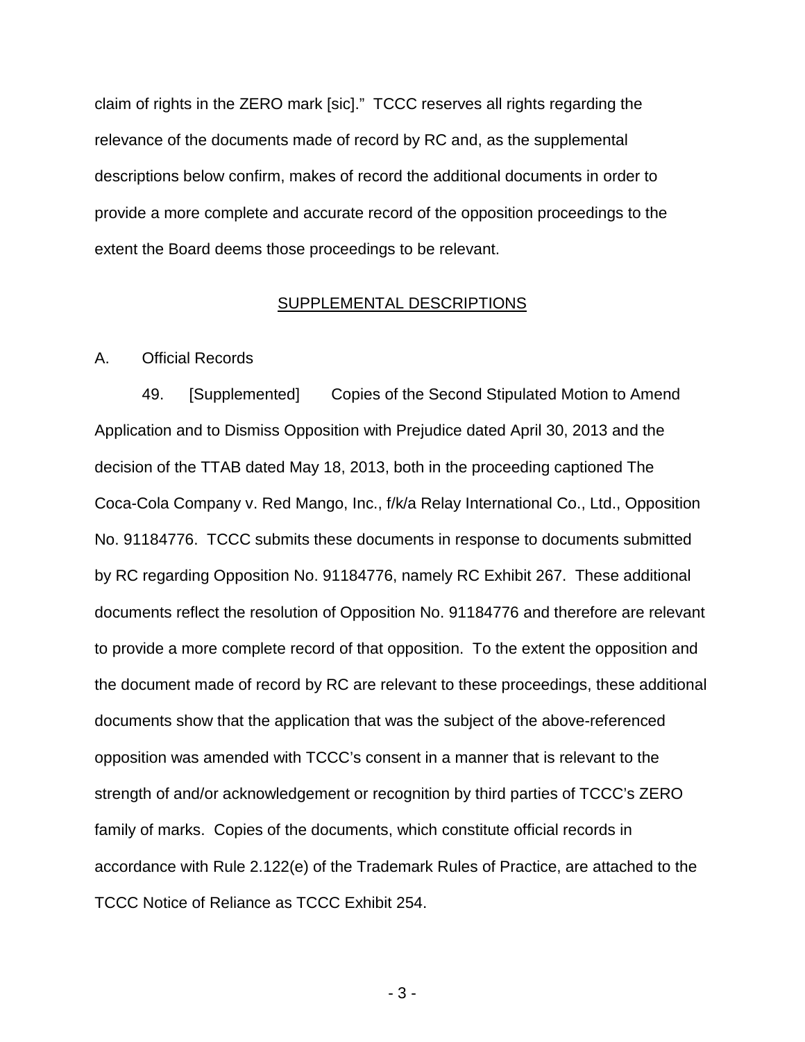claim of rights in the ZERO mark [sic]." TCCC reserves all rights regarding the relevance of the documents made of record by RC and, as the supplemental descriptions below confirm, makes of record the additional documents in order to provide a more complete and accurate record of the opposition proceedings to the extent the Board deems those proceedings to be relevant.

### SUPPLEMENTAL DESCRIPTIONS

#### A. Official Records

49. [Supplemented] Copies of the Second Stipulated Motion to Amend Application and to Dismiss Opposition with Prejudice dated April 30, 2013 and the decision of the TTAB dated May 18, 2013, both in the proceeding captioned The Coca-Cola Company v. Red Mango, Inc., f/k/a Relay International Co., Ltd., Opposition No. 91184776. TCCC submits these documents in response to documents submitted by RC regarding Opposition No. 91184776, namely RC Exhibit 267. These additional documents reflect the resolution of Opposition No. 91184776 and therefore are relevant to provide a more complete record of that opposition. To the extent the opposition and the document made of record by RC are relevant to these proceedings, these additional documents show that the application that was the subject of the above-referenced opposition was amended with TCCC's consent in a manner that is relevant to the strength of and/or acknowledgement or recognition by third parties of TCCC's ZERO family of marks. Copies of the documents, which constitute official records in accordance with Rule 2.122(e) of the Trademark Rules of Practice, are attached to the TCCC Notice of Reliance as TCCC Exhibit 254.

- 3 -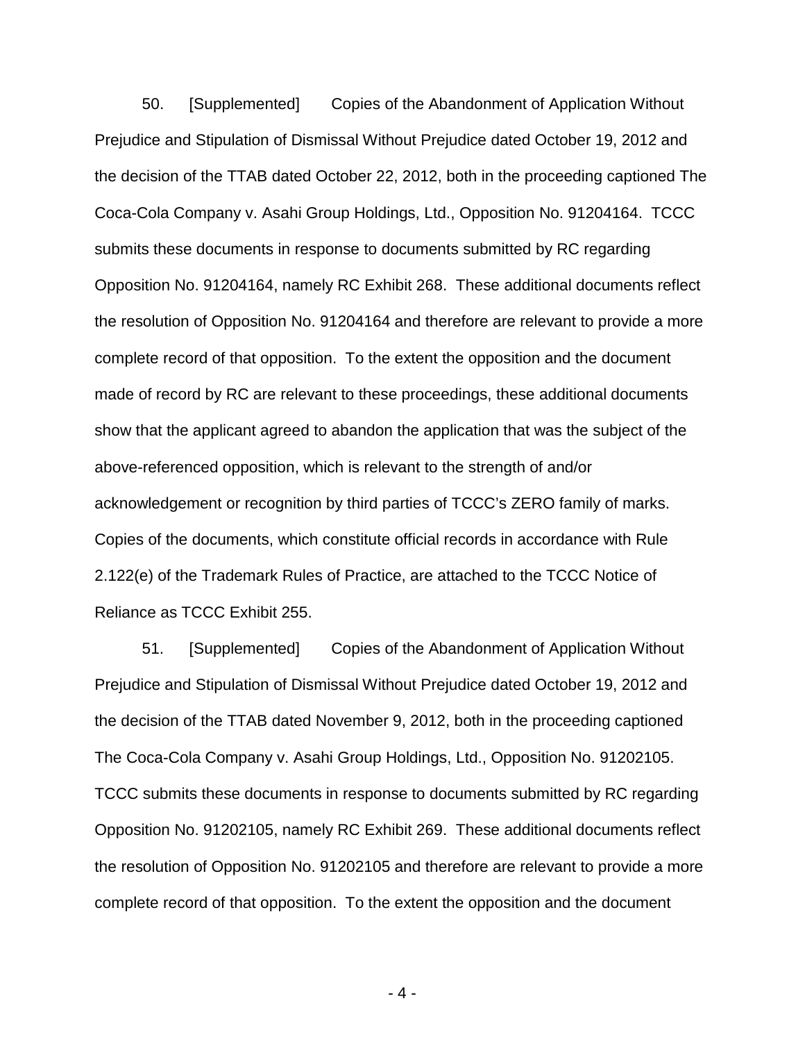50. [Supplemented] Copies of the Abandonment of Application Without Prejudice and Stipulation of Dismissal Without Prejudice dated October 19, 2012 and the decision of the TTAB dated October 22, 2012, both in the proceeding captioned The Coca-Cola Company v. Asahi Group Holdings, Ltd., Opposition No. 91204164. TCCC submits these documents in response to documents submitted by RC regarding Opposition No. 91204164, namely RC Exhibit 268. These additional documents reflect the resolution of Opposition No. 91204164 and therefore are relevant to provide a more complete record of that opposition. To the extent the opposition and the document made of record by RC are relevant to these proceedings, these additional documents show that the applicant agreed to abandon the application that was the subject of the above-referenced opposition, which is relevant to the strength of and/or acknowledgement or recognition by third parties of TCCC's ZERO family of marks. Copies of the documents, which constitute official records in accordance with Rule 2.122(e) of the Trademark Rules of Practice, are attached to the TCCC Notice of Reliance as TCCC Exhibit 255.

51. [Supplemented] Copies of the Abandonment of Application Without Prejudice and Stipulation of Dismissal Without Prejudice dated October 19, 2012 and the decision of the TTAB dated November 9, 2012, both in the proceeding captioned The Coca-Cola Company v. Asahi Group Holdings, Ltd., Opposition No. 91202105. TCCC submits these documents in response to documents submitted by RC regarding Opposition No. 91202105, namely RC Exhibit 269. These additional documents reflect the resolution of Opposition No. 91202105 and therefore are relevant to provide a more complete record of that opposition. To the extent the opposition and the document

- 4 -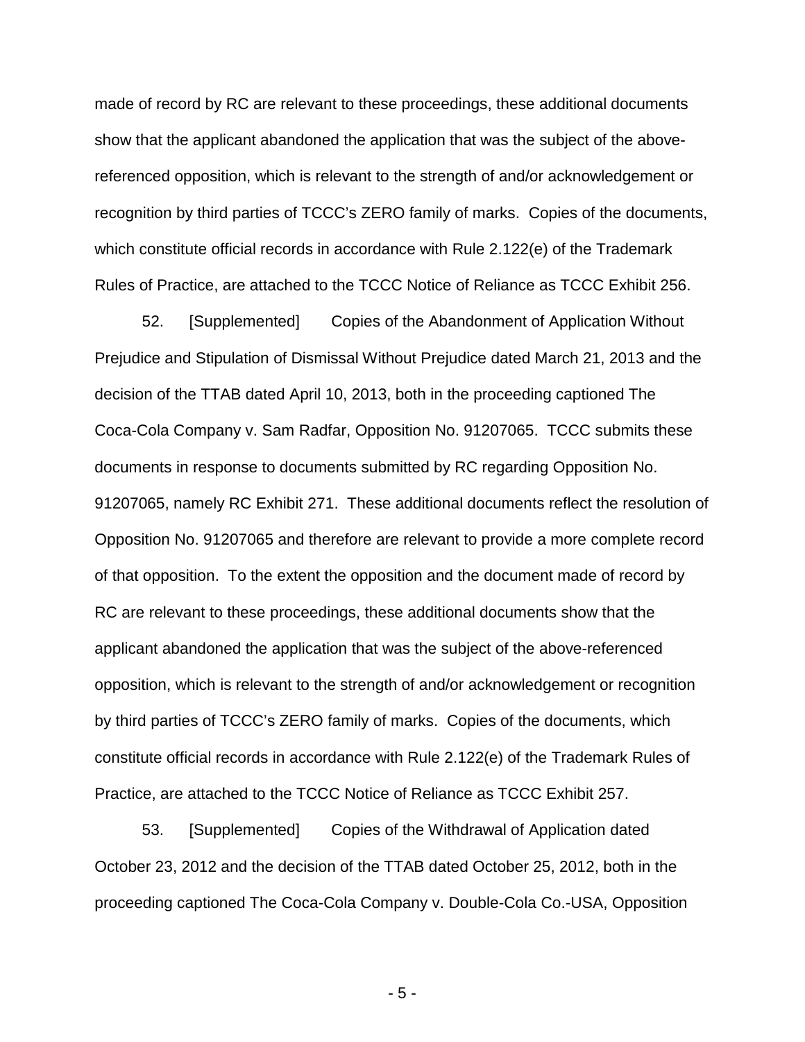made of record by RC are relevant to these proceedings, these additional documents show that the applicant abandoned the application that was the subject of the abovereferenced opposition, which is relevant to the strength of and/or acknowledgement or recognition by third parties of TCCC's ZERO family of marks. Copies of the documents, which constitute official records in accordance with Rule 2.122(e) of the Trademark Rules of Practice, are attached to the TCCC Notice of Reliance as TCCC Exhibit 256.

52. [Supplemented] Copies of the Abandonment of Application Without Prejudice and Stipulation of Dismissal Without Prejudice dated March 21, 2013 and the decision of the TTAB dated April 10, 2013, both in the proceeding captioned The Coca-Cola Company v. Sam Radfar, Opposition No. 91207065. TCCC submits these documents in response to documents submitted by RC regarding Opposition No. 91207065, namely RC Exhibit 271. These additional documents reflect the resolution of Opposition No. 91207065 and therefore are relevant to provide a more complete record of that opposition. To the extent the opposition and the document made of record by RC are relevant to these proceedings, these additional documents show that the applicant abandoned the application that was the subject of the above-referenced opposition, which is relevant to the strength of and/or acknowledgement or recognition by third parties of TCCC's ZERO family of marks. Copies of the documents, which constitute official records in accordance with Rule 2.122(e) of the Trademark Rules of Practice, are attached to the TCCC Notice of Reliance as TCCC Exhibit 257.

53. [Supplemented] Copies of the Withdrawal of Application dated October 23, 2012 and the decision of the TTAB dated October 25, 2012, both in the proceeding captioned The Coca-Cola Company v. Double-Cola Co.-USA, Opposition

- 5 -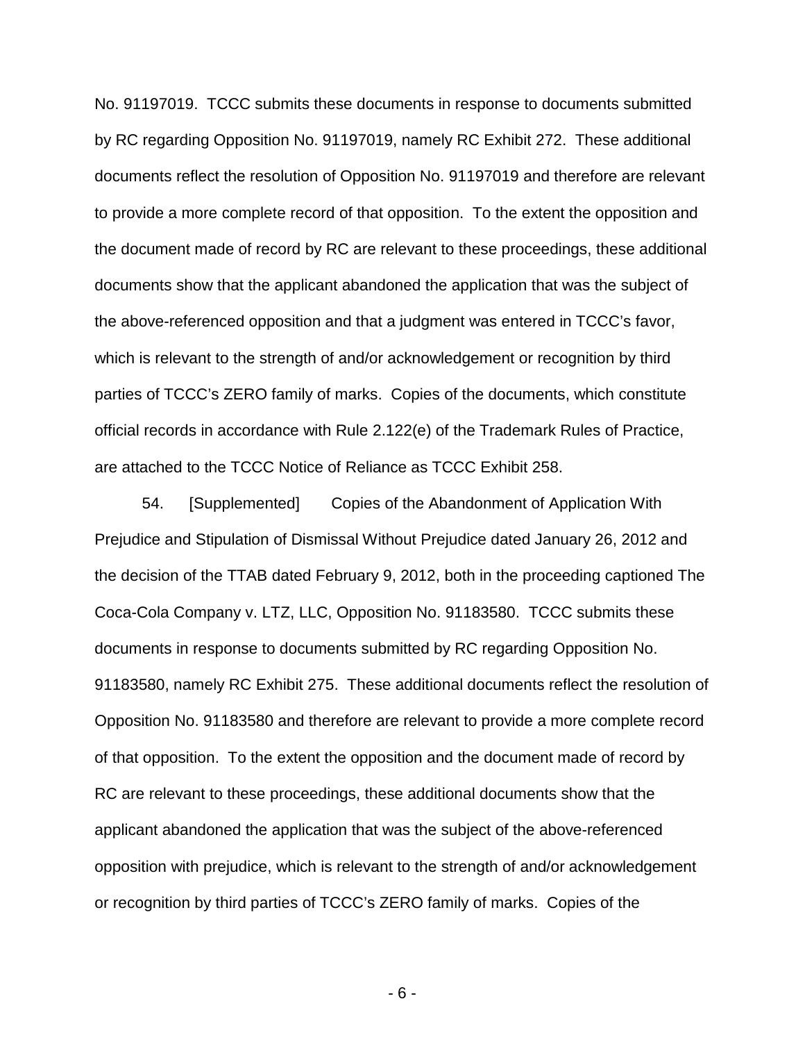No. 91197019. TCCC submits these documents in response to documents submitted by RC regarding Opposition No. 91197019, namely RC Exhibit 272. These additional documents reflect the resolution of Opposition No. 91197019 and therefore are relevant to provide a more complete record of that opposition. To the extent the opposition and the document made of record by RC are relevant to these proceedings, these additional documents show that the applicant abandoned the application that was the subject of the above-referenced opposition and that a judgment was entered in TCCC's favor, which is relevant to the strength of and/or acknowledgement or recognition by third parties of TCCC's ZERO family of marks. Copies of the documents, which constitute official records in accordance with Rule 2.122(e) of the Trademark Rules of Practice, are attached to the TCCC Notice of Reliance as TCCC Exhibit 258.

54. [Supplemented] Copies of the Abandonment of Application With Prejudice and Stipulation of Dismissal Without Prejudice dated January 26, 2012 and the decision of the TTAB dated February 9, 2012, both in the proceeding captioned The Coca-Cola Company v. LTZ, LLC, Opposition No. 91183580. TCCC submits these documents in response to documents submitted by RC regarding Opposition No. 91183580, namely RC Exhibit 275. These additional documents reflect the resolution of Opposition No. 91183580 and therefore are relevant to provide a more complete record of that opposition. To the extent the opposition and the document made of record by RC are relevant to these proceedings, these additional documents show that the applicant abandoned the application that was the subject of the above-referenced opposition with prejudice, which is relevant to the strength of and/or acknowledgement or recognition by third parties of TCCC's ZERO family of marks. Copies of the

- 6 -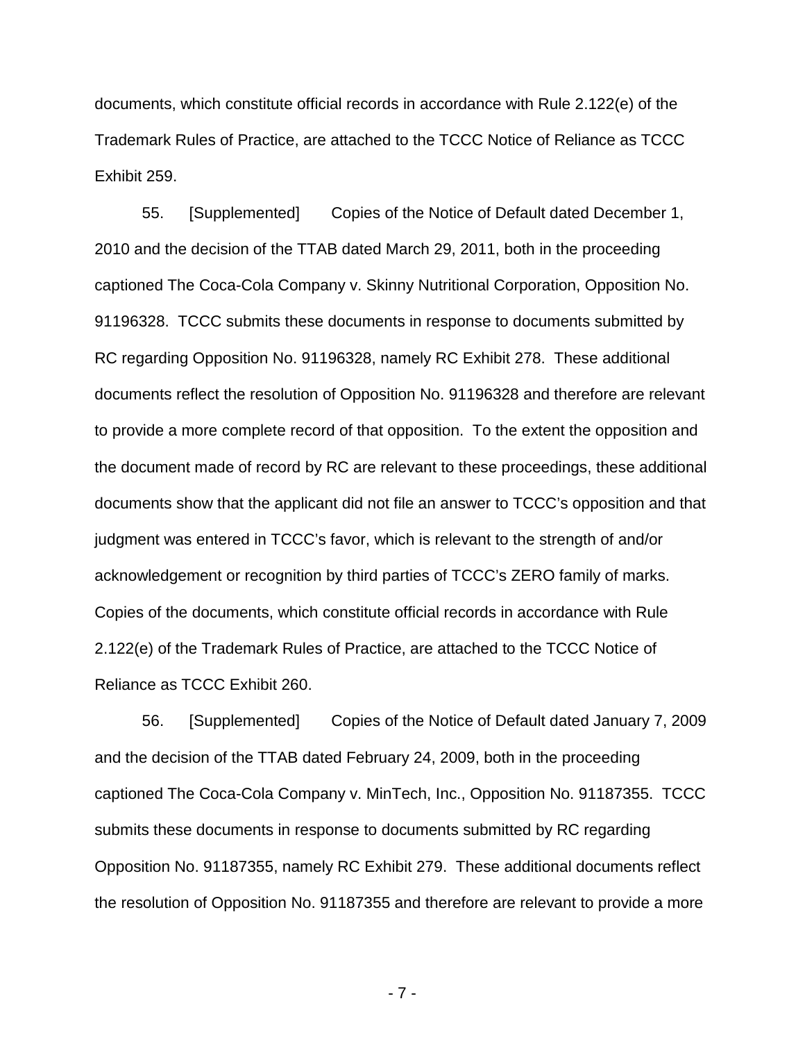documents, which constitute official records in accordance with Rule 2.122(e) of the Trademark Rules of Practice, are attached to the TCCC Notice of Reliance as TCCC Exhibit 259.

55. [Supplemented] Copies of the Notice of Default dated December 1, 2010 and the decision of the TTAB dated March 29, 2011, both in the proceeding captioned The Coca-Cola Company v. Skinny Nutritional Corporation, Opposition No. 91196328. TCCC submits these documents in response to documents submitted by RC regarding Opposition No. 91196328, namely RC Exhibit 278. These additional documents reflect the resolution of Opposition No. 91196328 and therefore are relevant to provide a more complete record of that opposition. To the extent the opposition and the document made of record by RC are relevant to these proceedings, these additional documents show that the applicant did not file an answer to TCCC's opposition and that judgment was entered in TCCC's favor, which is relevant to the strength of and/or acknowledgement or recognition by third parties of TCCC's ZERO family of marks. Copies of the documents, which constitute official records in accordance with Rule 2.122(e) of the Trademark Rules of Practice, are attached to the TCCC Notice of Reliance as TCCC Exhibit 260.

56. [Supplemented] Copies of the Notice of Default dated January 7, 2009 and the decision of the TTAB dated February 24, 2009, both in the proceeding captioned The Coca-Cola Company v. MinTech, Inc., Opposition No. 91187355. TCCC submits these documents in response to documents submitted by RC regarding Opposition No. 91187355, namely RC Exhibit 279. These additional documents reflect the resolution of Opposition No. 91187355 and therefore are relevant to provide a more

- 7 -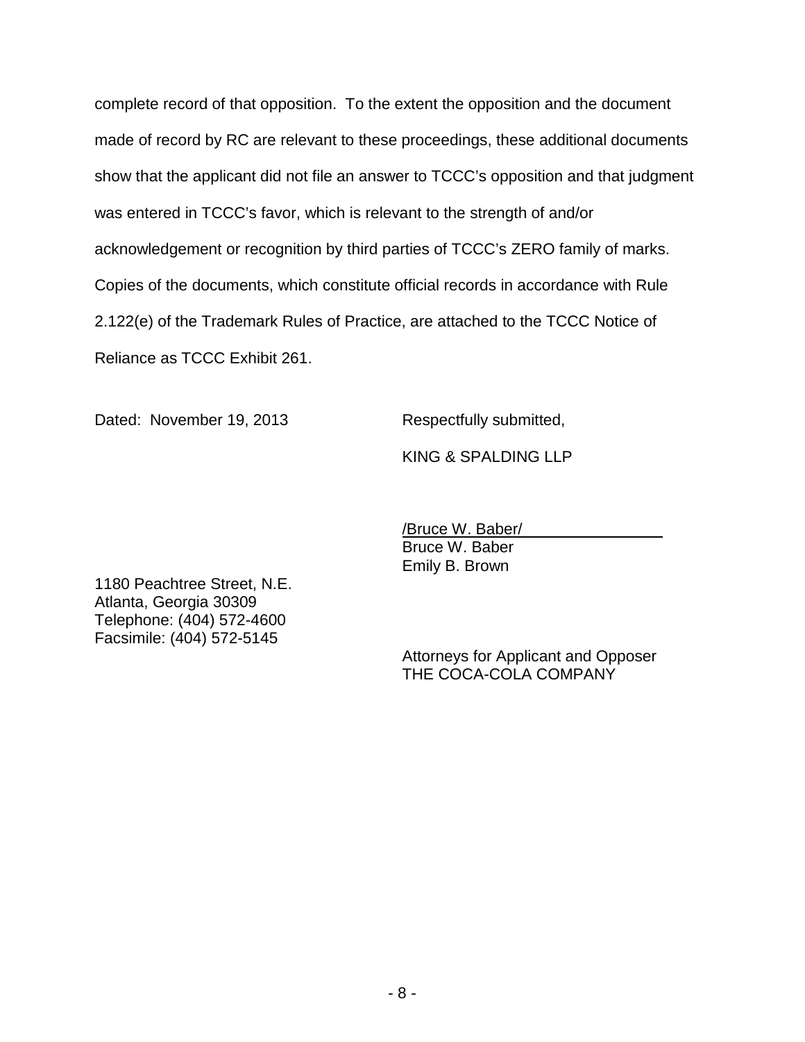complete record of that opposition. To the extent the opposition and the document made of record by RC are relevant to these proceedings, these additional documents show that the applicant did not file an answer to TCCC's opposition and that judgment was entered in TCCC's favor, which is relevant to the strength of and/or acknowledgement or recognition by third parties of TCCC's ZERO family of marks. Copies of the documents, which constitute official records in accordance with Rule 2.122(e) of the Trademark Rules of Practice, are attached to the TCCC Notice of Reliance as TCCC Exhibit 261.

Dated: November 19, 2013 Respectfully submitted,

KING & SPALDING LLP

/Bruce W. Baber/ Bruce W. Baber Emily B. Brown

1180 Peachtree Street, N.E. Atlanta, Georgia 30309 Telephone: (404) 572-4600 Facsimile: (404) 572-5145

> Attorneys for Applicant and Opposer THE COCA-COLA COMPANY